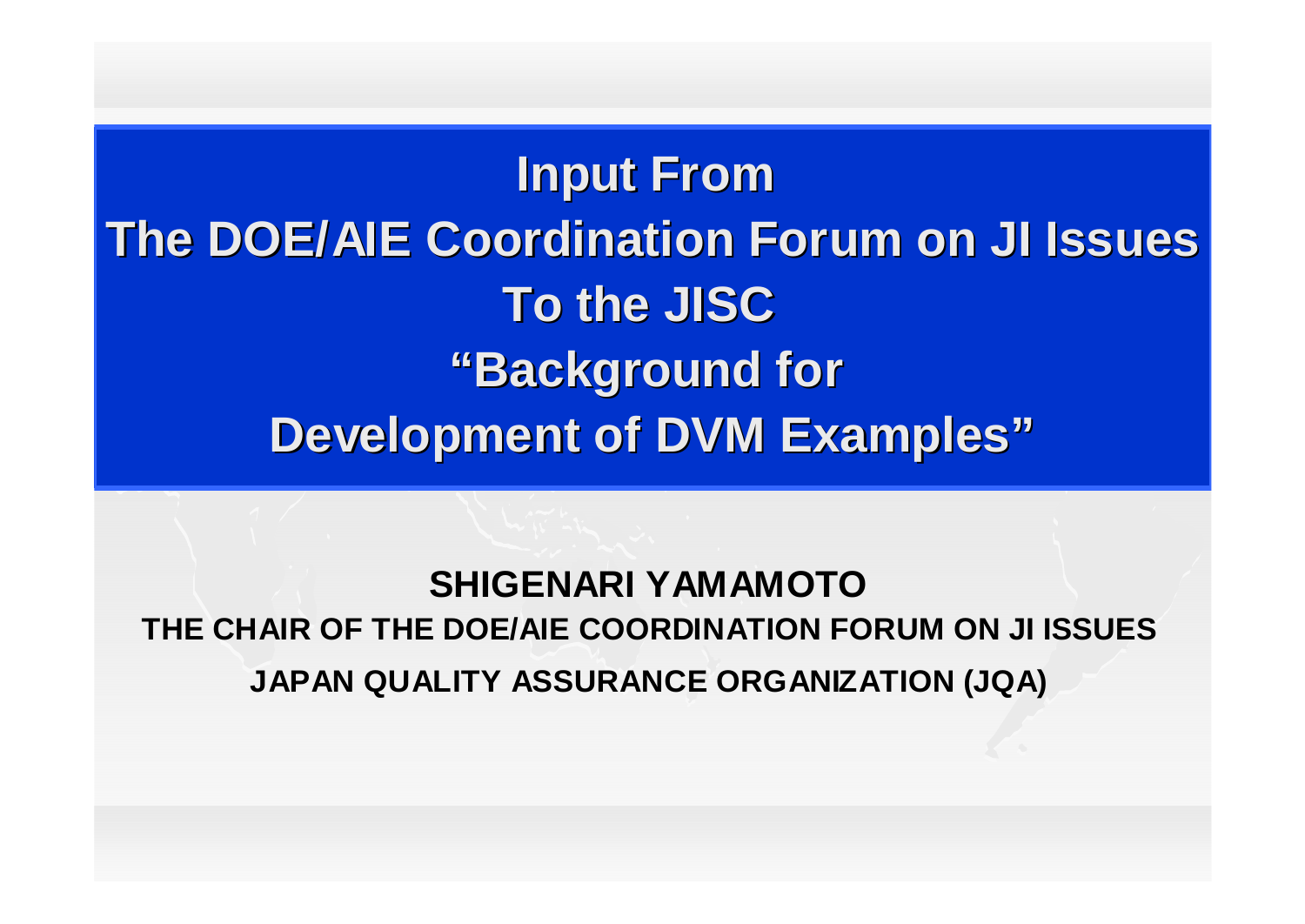**Input From The DOE/AIE Coordination Forum on JI Issues To the JISC "Background for Development of DVM Examples"**

**SHIGENARI YAMAMOTO THE CHAIR OF THE DOE/AIE COORDINATION FORUM ON JI ISSUES JAPAN QUALITY ASSURANCE ORGANIZATION (JQA)**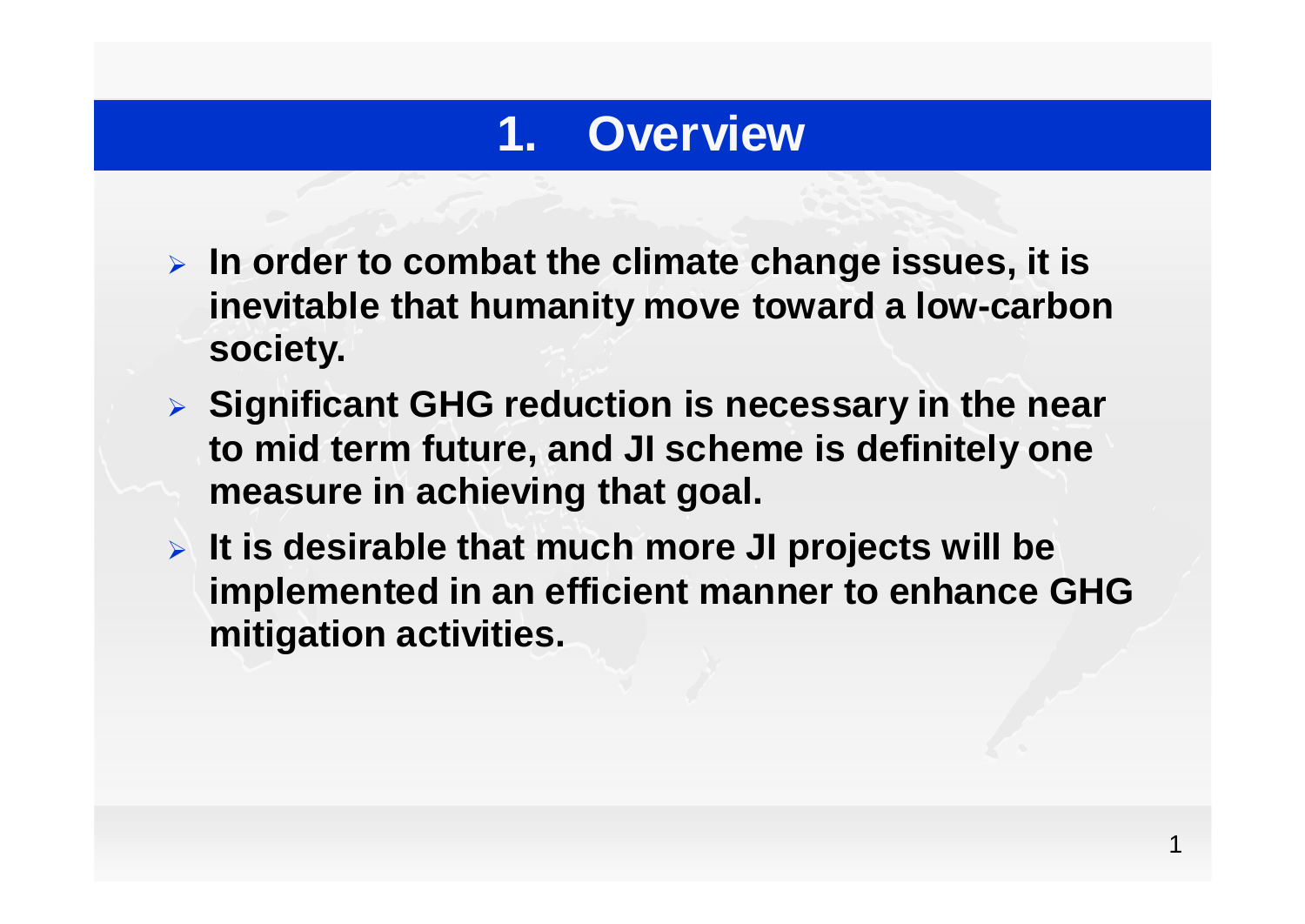#### **1. Overview**

- **In order to combat the climate change issues, it is inevitable that humanity move toward a low-carbon society.**
- **Significant GHG reduction is necessary in the near to mid term future, and JI scheme is definitely one measure in achieving that goal.**
- **It is desirable that much more JI projects will be implemented in an efficient manner to enhance GHG mitigation activities.**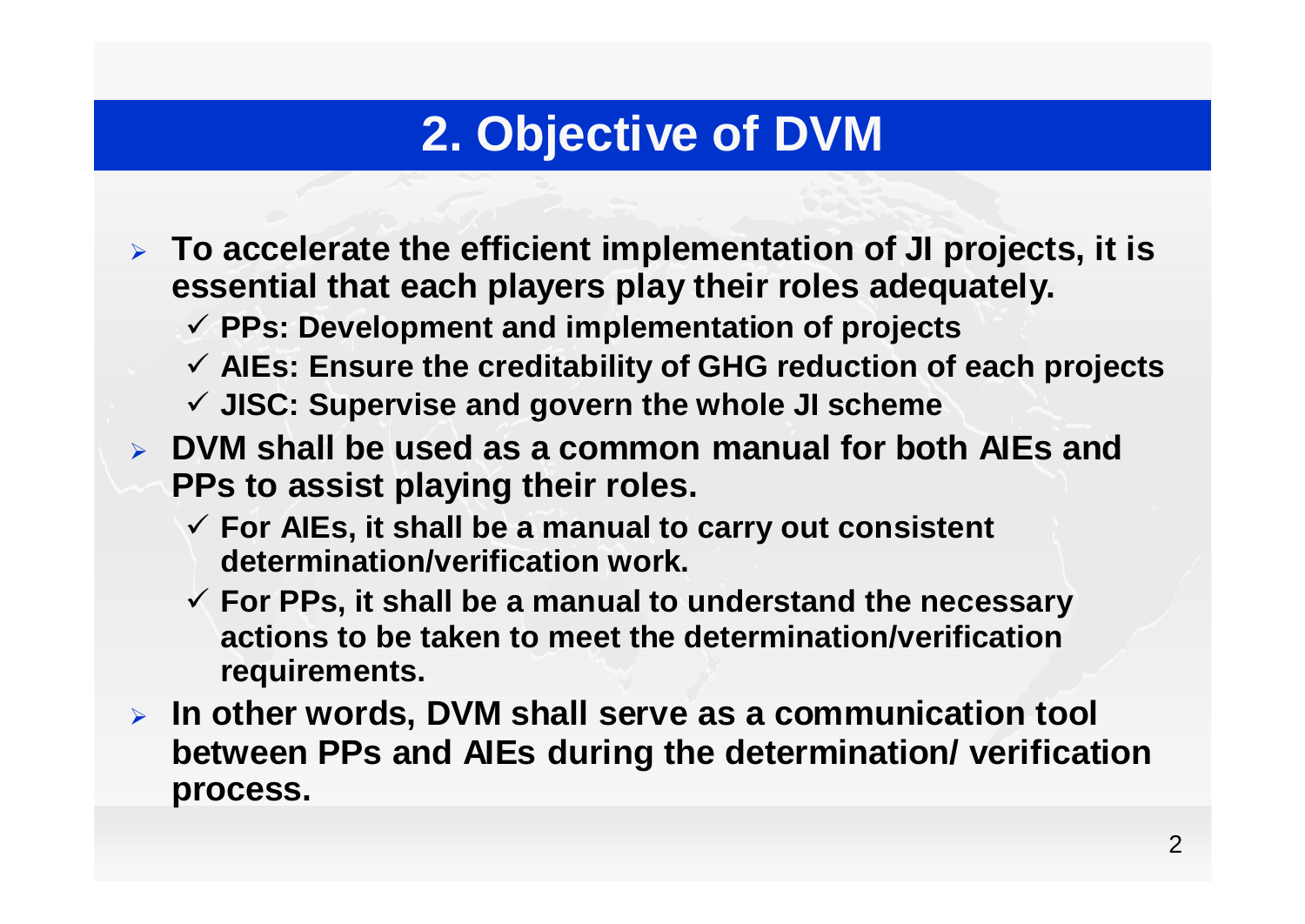## **2. Objective of DVM**

- **To accelerate the efficient implementation of JI projects, it is essential that each players play their roles adequately.** 
	- **PPs: Development and implementation of projects**
	- **AIEs: Ensure the creditability of GHG reduction of each projects**
	- **JISC: Supervise and govern the whole JI scheme**
- **DVM shall be used as a common manual for both AIEs and PPs to assist playing their roles.**
	- **For AIEs, it shall be a manual to carry out consistent determination/verification work.**
	- **For PPs, it shall be a manual to understand the necessary actions to be taken to meet the determination/verification requirements.**
- **In other words, DVM shall serve as a communication tool between PPs and AIEs during the determination/ verification process.**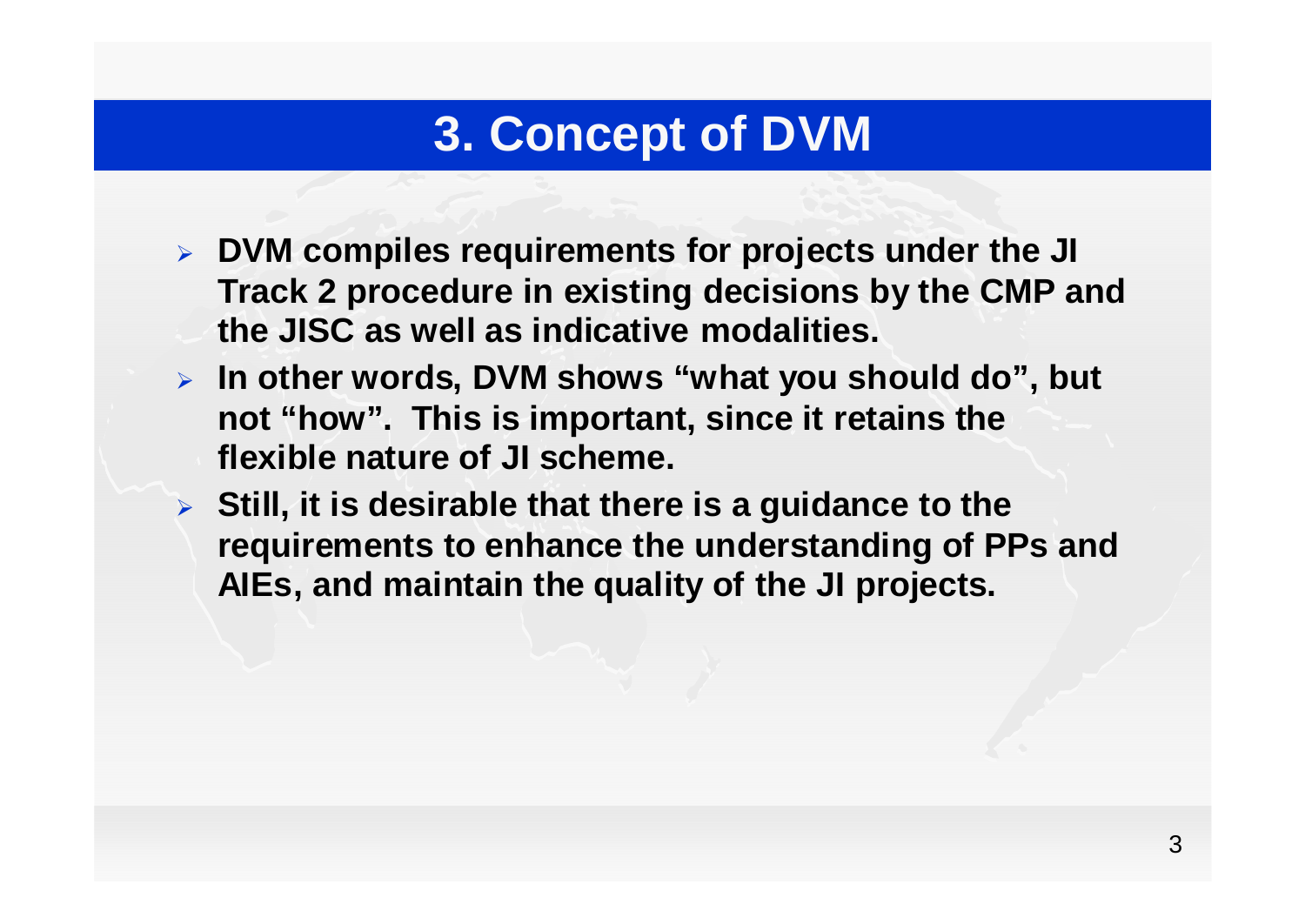### **3. Concept of DVM**

- **DVM compiles requirements for projects under the JI Track 2 procedure in existing decisions by the CMP and the JISC as well as indicative modalities.**
- **In other words, DVM shows "what you should do", but not "how". This is important, since it retains the flexible nature of JI scheme.**
- **Still, it is desirable that there is a guidance to the requirements to enhance the understanding of PPs and AIEs, and maintain the quality of the JI projects.**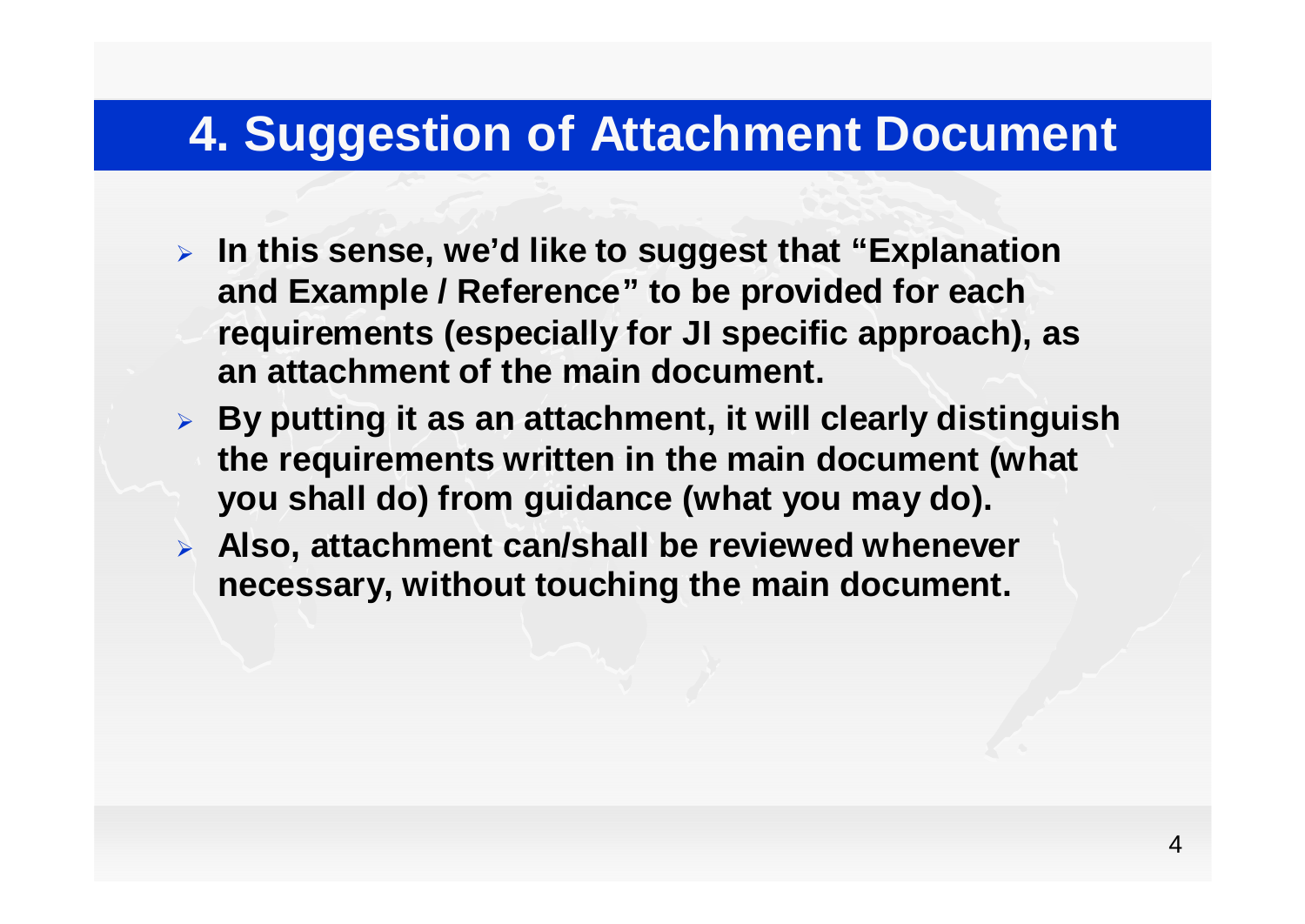#### **4. Suggestion of Attachment Document**

- **In this sense, we'd like to suggest that "Explanation and Example / Reference" to be provided for each requirements (especially for JI specific approach), as an attachment of the main document.**
- **By putting it as an attachment, it will clearly distinguish the requirements written in the main document (what you shall do) from guidance (what you may do).**
- **Also, attachment can/shall be reviewed whenever necessary, without touching the main document.**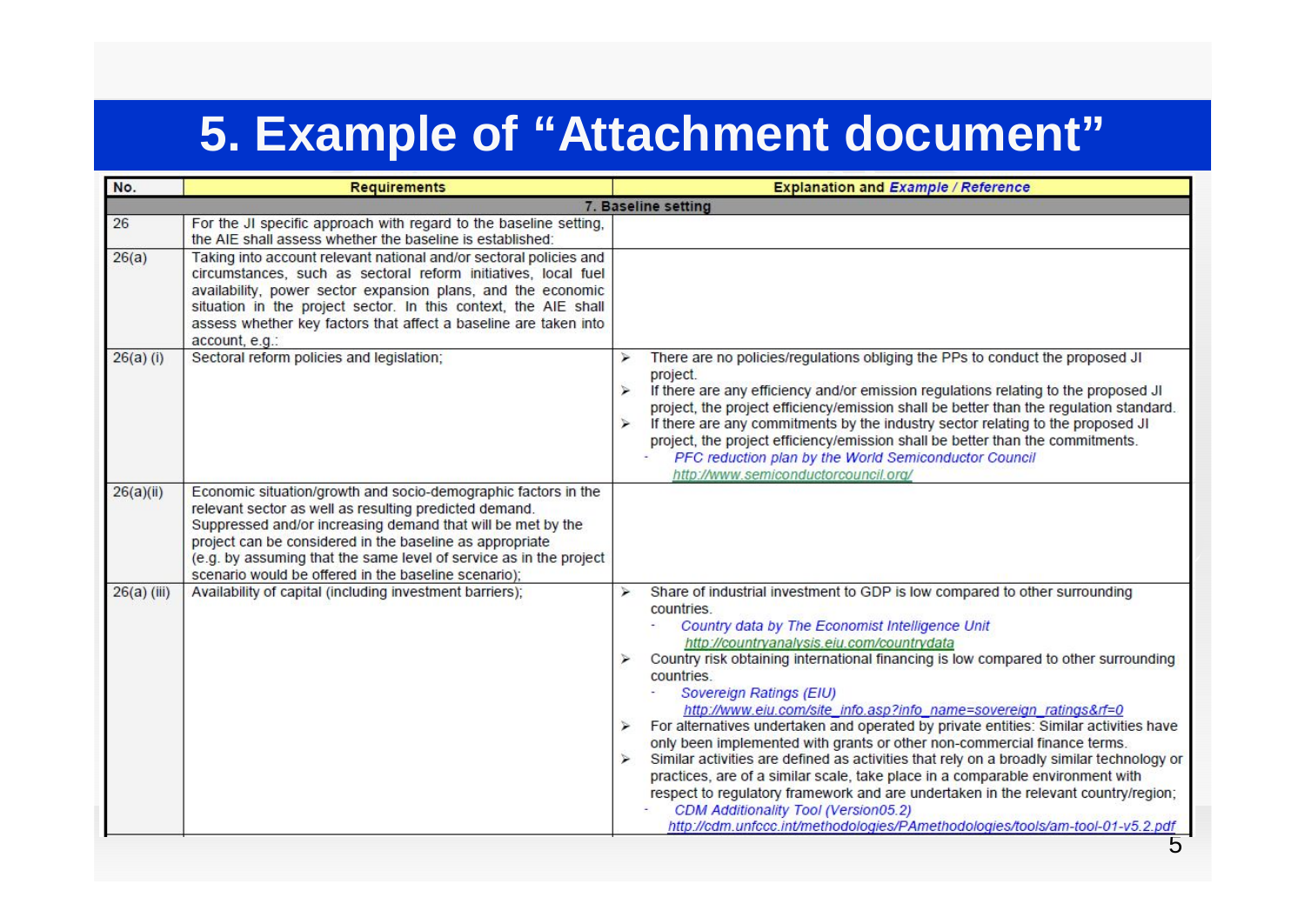## **5. Example of "Attachment document"**

| No.                 | <b>Requirements</b>                                                                                                                                                                                                                                                                                                                                                               | <b>Explanation and Example / Reference</b>                                                                                                                                                                                                                                                                                                                                                                                                                                                                                                                                                                                                                                                                                                                                                                                                                                                                                                                                                           |
|---------------------|-----------------------------------------------------------------------------------------------------------------------------------------------------------------------------------------------------------------------------------------------------------------------------------------------------------------------------------------------------------------------------------|------------------------------------------------------------------------------------------------------------------------------------------------------------------------------------------------------------------------------------------------------------------------------------------------------------------------------------------------------------------------------------------------------------------------------------------------------------------------------------------------------------------------------------------------------------------------------------------------------------------------------------------------------------------------------------------------------------------------------------------------------------------------------------------------------------------------------------------------------------------------------------------------------------------------------------------------------------------------------------------------------|
| 7. Baseline setting |                                                                                                                                                                                                                                                                                                                                                                                   |                                                                                                                                                                                                                                                                                                                                                                                                                                                                                                                                                                                                                                                                                                                                                                                                                                                                                                                                                                                                      |
| 26                  | For the JI specific approach with regard to the baseline setting,<br>the AIE shall assess whether the baseline is established:                                                                                                                                                                                                                                                    |                                                                                                                                                                                                                                                                                                                                                                                                                                                                                                                                                                                                                                                                                                                                                                                                                                                                                                                                                                                                      |
| 26(a)               | Taking into account relevant national and/or sectoral policies and<br>circumstances, such as sectoral reform initiatives, local fuel<br>availability, power sector expansion plans, and the economic<br>situation in the project sector. In this context, the AIE shall<br>assess whether key factors that affect a baseline are taken into<br>account, e.g.:                     |                                                                                                                                                                                                                                                                                                                                                                                                                                                                                                                                                                                                                                                                                                                                                                                                                                                                                                                                                                                                      |
| $26(a)$ (i)         | Sectoral reform policies and legislation;                                                                                                                                                                                                                                                                                                                                         | There are no policies/regulations obliging the PPs to conduct the proposed JI<br>project.<br>If there are any efficiency and/or emission regulations relating to the proposed JI<br>$\lambda$<br>project, the project efficiency/emission shall be better than the regulation standard.<br>If there are any commitments by the industry sector relating to the proposed JI<br>$\geq$<br>project, the project efficiency/emission shall be better than the commitments.<br>PFC reduction plan by the World Semiconductor Council<br>http://www.semiconductorcouncil.org/                                                                                                                                                                                                                                                                                                                                                                                                                              |
| 26(a)(ii)           | Economic situation/growth and socio-demographic factors in the<br>relevant sector as well as resulting predicted demand.<br>Suppressed and/or increasing demand that will be met by the<br>project can be considered in the baseline as appropriate<br>(e.g. by assuming that the same level of service as in the project<br>scenario would be offered in the baseline scenario); |                                                                                                                                                                                                                                                                                                                                                                                                                                                                                                                                                                                                                                                                                                                                                                                                                                                                                                                                                                                                      |
| $26(a)$ (iii)       | Availability of capital (including investment barriers);                                                                                                                                                                                                                                                                                                                          | Share of industrial investment to GDP is low compared to other surrounding<br>↘<br>countries.<br>Country data by The Economist Intelligence Unit<br>http://countryanalysis.eiu.com/countrydata<br>Country risk obtaining international financing is low compared to other surrounding<br>countries.<br>Sovereign Ratings (EIU)<br>http://www.eiu.com/site_info.asp?info_name=sovereign_ratings&rf=0<br>For alternatives undertaken and operated by private entities: Similar activities have<br>$\blacktriangleright$<br>only been implemented with grants or other non-commercial finance terms.<br>Similar activities are defined as activities that rely on a broadly similar technology or<br>↘<br>practices, are of a similar scale, take place in a comparable environment with<br>respect to regulatory framework and are undertaken in the relevant country/region;<br>CDM Additionality Tool (Version05.2)<br>http://cdm.unfccc.int/methodologies/PAmethodologies/tools/am-tool-01-v5.2.pdf |